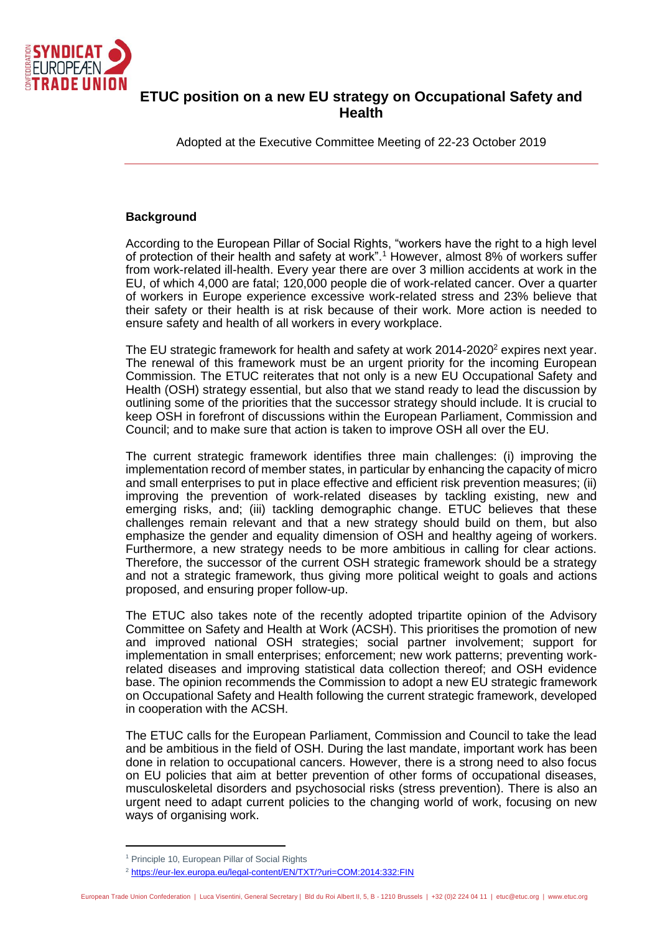

# **ETUC position on a new EU strategy on Occupational Safety and Health**

Adopted at the Executive Committee Meeting of 22-23 October 2019

# **Background**

According to the European Pillar of Social Rights, "workers have the right to a high level of protection of their health and safety at work".<sup>1</sup> However, almost 8% of workers suffer from work-related ill-health. Every year there are over 3 million accidents at work in the EU, of which 4,000 are fatal; 120,000 people die of work-related cancer. Over a quarter of workers in Europe experience excessive work-related stress and 23% believe that their safety or their health is at risk because of their work. More action is needed to ensure safety and health of all workers in every workplace.

The EU strategic framework for health and safety at work  $2014-2020^2$  expires next year. The renewal of this framework must be an urgent priority for the incoming European Commission. The ETUC reiterates that not only is a new EU Occupational Safety and Health (OSH) strategy essential, but also that we stand ready to lead the discussion by outlining some of the priorities that the successor strategy should include. It is crucial to keep OSH in forefront of discussions within the European Parliament, Commission and Council; and to make sure that action is taken to improve OSH all over the EU.

The current strategic framework identifies three main challenges: (i) improving the implementation record of member states, in particular by enhancing the capacity of micro and small enterprises to put in place effective and efficient risk prevention measures; (ii) improving the prevention of work-related diseases by tackling existing, new and emerging risks, and; (iii) tackling demographic change. ETUC believes that these challenges remain relevant and that a new strategy should build on them, but also emphasize the gender and equality dimension of OSH and healthy ageing of workers. Furthermore, a new strategy needs to be more ambitious in calling for clear actions. Therefore, the successor of the current OSH strategic framework should be a strategy and not a strategic framework, thus giving more political weight to goals and actions proposed, and ensuring proper follow-up.

The ETUC also takes note of the recently adopted tripartite opinion of the Advisory Committee on Safety and Health at Work (ACSH). This prioritises the promotion of new and improved national OSH strategies; social partner involvement; support for implementation in small enterprises; enforcement; new work patterns; preventing workrelated diseases and improving statistical data collection thereof; and OSH evidence base. The opinion recommends the Commission to adopt a new EU strategic framework on Occupational Safety and Health following the current strategic framework, developed in cooperation with the ACSH.

The ETUC calls for the European Parliament, Commission and Council to take the lead and be ambitious in the field of OSH. During the last mandate, important work has been done in relation to occupational cancers. However, there is a strong need to also focus on EU policies that aim at better prevention of other forms of occupational diseases, musculoskeletal disorders and psychosocial risks (stress prevention). There is also an urgent need to adapt current policies to the changing world of work, focusing on new ways of organising work.

<sup>&</sup>lt;sup>1</sup> Principle 10, European Pillar of Social Rights

<sup>&</sup>lt;sup>2</sup> <https://eur-lex.europa.eu/legal-content/EN/TXT/?uri=COM:2014:332:FIN>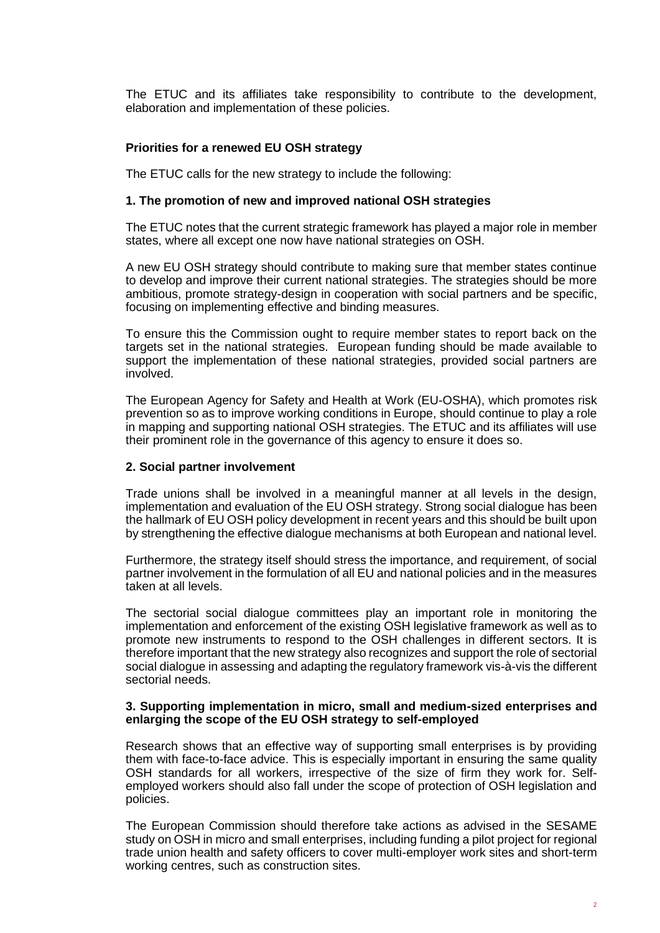The ETUC and its affiliates take responsibility to contribute to the development, elaboration and implementation of these policies.

# **Priorities for a renewed EU OSH strategy**

The ETUC calls for the new strategy to include the following:

## **1. The promotion of new and improved national OSH strategies**

The ETUC notes that the current strategic framework has played a major role in member states, where all except one now have national strategies on OSH.

A new EU OSH strategy should contribute to making sure that member states continue to develop and improve their current national strategies. The strategies should be more ambitious, promote strategy-design in cooperation with social partners and be specific, focusing on implementing effective and binding measures.

To ensure this the Commission ought to require member states to report back on the targets set in the national strategies. European funding should be made available to support the implementation of these national strategies, provided social partners are involved.

The European Agency for Safety and Health at Work (EU-OSHA), which promotes risk prevention so as to improve working conditions in Europe, should continue to play a role in mapping and supporting national OSH strategies. The ETUC and its affiliates will use their prominent role in the governance of this agency to ensure it does so.

## **2. Social partner involvement**

Trade unions shall be involved in a meaningful manner at all levels in the design, implementation and evaluation of the EU OSH strategy. Strong social dialogue has been the hallmark of EU OSH policy development in recent years and this should be built upon by strengthening the effective dialogue mechanisms at both European and national level.

Furthermore, the strategy itself should stress the importance, and requirement, of social partner involvement in the formulation of all EU and national policies and in the measures taken at all levels.

The sectorial social dialogue committees play an important role in monitoring the implementation and enforcement of the existing OSH legislative framework as well as to promote new instruments to respond to the OSH challenges in different sectors. It is therefore important that the new strategy also recognizes and support the role of sectorial social dialogue in assessing and adapting the regulatory framework vis-à-vis the different sectorial needs.

## **3. Supporting implementation in micro, small and medium-sized enterprises and enlarging the scope of the EU OSH strategy to self-employed**

Research shows that an effective way of supporting small enterprises is by providing them with face-to-face advice. This is especially important in ensuring the same quality OSH standards for all workers, irrespective of the size of firm they work for. Selfemployed workers should also fall under the scope of protection of OSH legislation and policies.

The European Commission should therefore take actions as advised in the SESAME study on OSH in micro and small enterprises, including funding a pilot project for regional trade union health and safety officers to cover multi-employer work sites and short-term working centres, such as construction sites.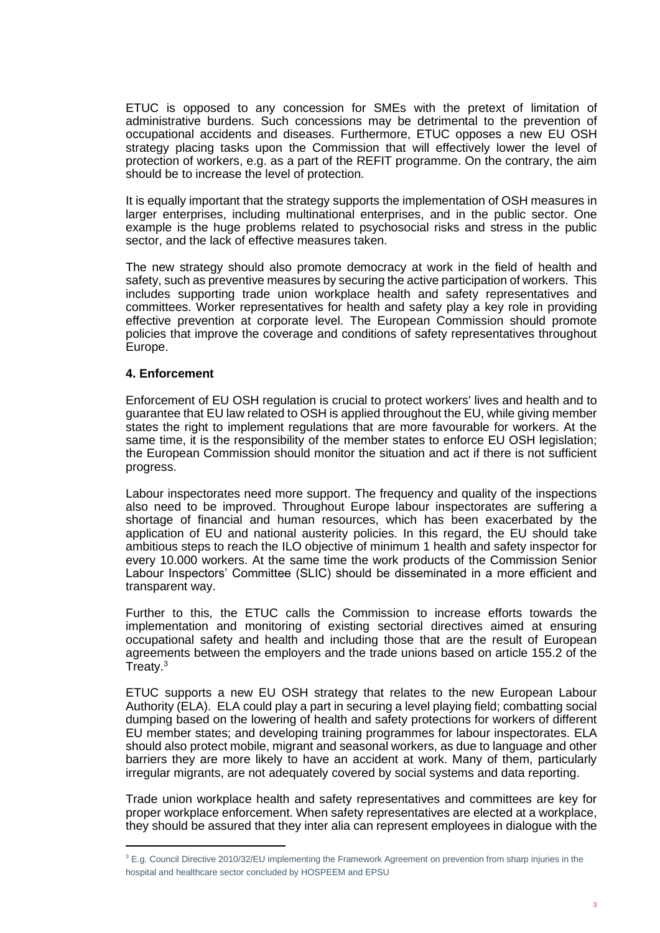ETUC is opposed to any concession for SMEs with the pretext of limitation of administrative burdens. Such concessions may be detrimental to the prevention of occupational accidents and diseases. Furthermore, ETUC opposes a new EU OSH strategy placing tasks upon the Commission that will effectively lower the level of protection of workers, e.g. as a part of the REFIT programme. On the contrary, the aim should be to increase the level of protection.

It is equally important that the strategy supports the implementation of OSH measures in larger enterprises, including multinational enterprises, and in the public sector. One example is the huge problems related to psychosocial risks and stress in the public sector, and the lack of effective measures taken.

The new strategy should also promote democracy at work in the field of health and safety, such as preventive measures by securing the active participation of workers. This includes supporting trade union workplace health and safety representatives and committees. Worker representatives for health and safety play a key role in providing effective prevention at corporate level. The European Commission should promote policies that improve the coverage and conditions of safety representatives throughout Europe.

# **4. Enforcement**

Enforcement of EU OSH regulation is crucial to protect workers' lives and health and to guarantee that EU law related to OSH is applied throughout the EU, while giving member states the right to implement regulations that are more favourable for workers. At the same time, it is the responsibility of the member states to enforce EU OSH legislation; the European Commission should monitor the situation and act if there is not sufficient progress.

Labour inspectorates need more support. The frequency and quality of the inspections also need to be improved. Throughout Europe labour inspectorates are suffering a shortage of financial and human resources, which has been exacerbated by the application of EU and national austerity policies. In this regard, the EU should take ambitious steps to reach the ILO objective of minimum 1 health and safety inspector for every 10.000 workers. At the same time the work products of the Commission Senior Labour Inspectors' Committee (SLIC) should be disseminated in a more efficient and transparent way.

Further to this, the ETUC calls the Commission to increase efforts towards the implementation and monitoring of existing sectorial directives aimed at ensuring occupational safety and health and including those that are the result of European agreements between the employers and the trade unions based on article 155.2 of the Treaty. 3

ETUC supports a new EU OSH strategy that relates to the new European Labour Authority (ELA). ELA could play a part in securing a level playing field; combatting social dumping based on the lowering of health and safety protections for workers of different EU member states; and developing training programmes for labour inspectorates. ELA should also protect mobile, migrant and seasonal workers, as due to language and other barriers they are more likely to have an accident at work. Many of them, particularly irregular migrants, are not adequately covered by social systems and data reporting.

Trade union workplace health and safety representatives and committees are key for proper workplace enforcement. When safety representatives are elected at a workplace, they should be assured that they inter alia can represent employees in dialogue with the

<sup>&</sup>lt;sup>3</sup> E.g. Council Directive 2010/32/EU implementing the Framework Agreement on prevention from sharp injuries in the hospital and healthcare sector concluded by HOSPEEM and EPSU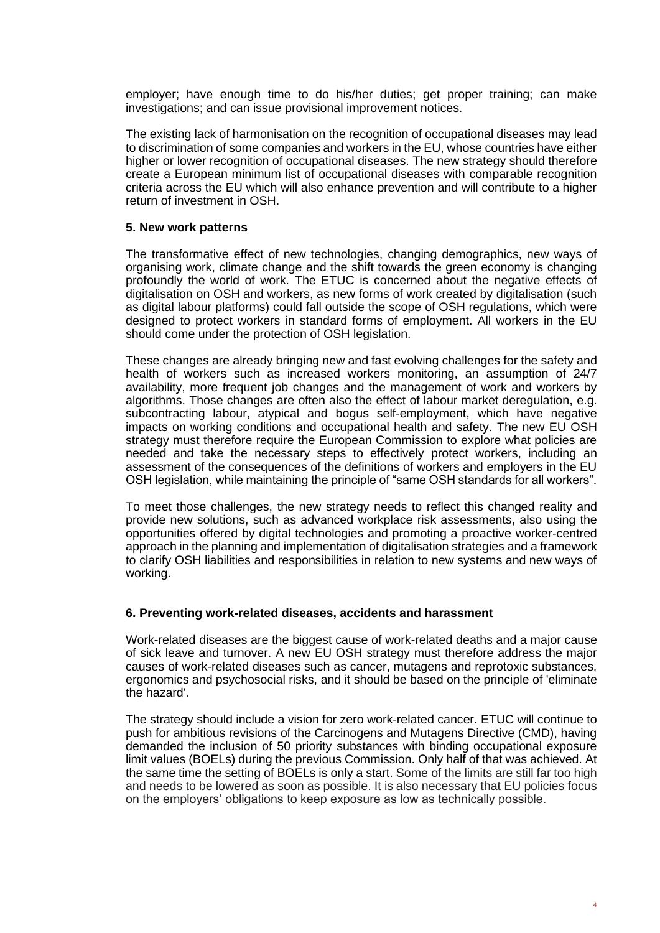employer; have enough time to do his/her duties; get proper training; can make investigations; and can issue provisional improvement notices.

The existing lack of harmonisation on the recognition of occupational diseases may lead to discrimination of some companies and workers in the EU, whose countries have either higher or lower recognition of occupational diseases. The new strategy should therefore create a European minimum list of occupational diseases with comparable recognition criteria across the EU which will also enhance prevention and will contribute to a higher return of investment in OSH.

#### **5. New work patterns**

The transformative effect of new technologies, changing demographics, new ways of organising work, climate change and the shift towards the green economy is changing profoundly the world of work. The ETUC is concerned about the negative effects of digitalisation on OSH and workers, as new forms of work created by digitalisation (such as digital labour platforms) could fall outside the scope of OSH regulations, which were designed to protect workers in standard forms of employment. All workers in the EU should come under the protection of OSH legislation.

These changes are already bringing new and fast evolving challenges for the safety and health of workers such as increased workers monitoring, an assumption of 24/7 availability, more frequent job changes and the management of work and workers by algorithms. Those changes are often also the effect of labour market deregulation, e.g. subcontracting labour, atypical and bogus self-employment, which have negative impacts on working conditions and occupational health and safety. The new EU OSH strategy must therefore require the European Commission to explore what policies are needed and take the necessary steps to effectively protect workers, including an assessment of the consequences of the definitions of workers and employers in the EU OSH legislation, while maintaining the principle of "same OSH standards for all workers".

To meet those challenges, the new strategy needs to reflect this changed reality and provide new solutions, such as advanced workplace risk assessments, also using the opportunities offered by digital technologies and promoting a proactive worker-centred approach in the planning and implementation of digitalisation strategies and a framework to clarify OSH liabilities and responsibilities in relation to new systems and new ways of working.

#### **6. Preventing work-related diseases, accidents and harassment**

Work-related diseases are the biggest cause of work-related deaths and a major cause of sick leave and turnover. A new EU OSH strategy must therefore address the major causes of work-related diseases such as cancer, mutagens and reprotoxic substances, ergonomics and psychosocial risks, and it should be based on the principle of 'eliminate the hazard'.

The strategy should include a vision for zero work-related cancer. ETUC will continue to push for ambitious revisions of the Carcinogens and Mutagens Directive (CMD), having demanded the inclusion of 50 priority substances with binding occupational exposure limit values (BOELs) during the previous Commission. Only half of that was achieved. At the same time the setting of BOELs is only a start. Some of the limits are still far too high and needs to be lowered as soon as possible. It is also necessary that EU policies focus on the employers' obligations to keep exposure as low as technically possible.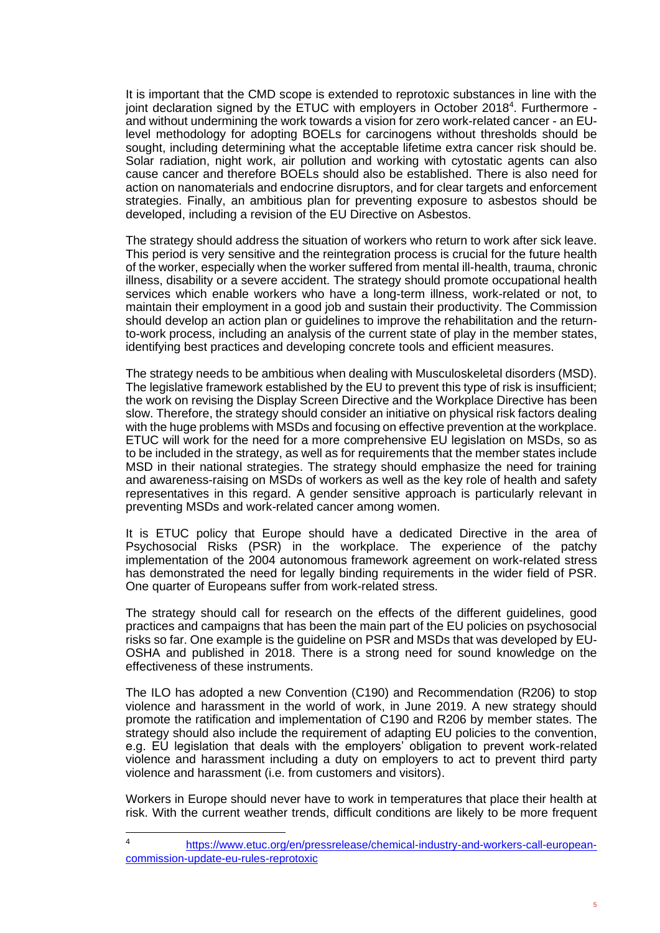It is important that the CMD scope is extended to reprotoxic substances in line with the joint declaration signed by the ETUC with employers in October 2018<sup>4</sup>. Furthermore and without undermining the work towards a vision for zero work-related cancer - an EUlevel methodology for adopting BOELs for carcinogens without thresholds should be sought, including determining what the acceptable lifetime extra cancer risk should be. Solar radiation, night work, air pollution and working with cytostatic agents can also cause cancer and therefore BOELs should also be established. There is also need for action on nanomaterials and endocrine disruptors, and for clear targets and enforcement strategies. Finally, an ambitious plan for preventing exposure to asbestos should be developed, including a revision of the EU Directive on Asbestos.

The strategy should address the situation of workers who return to work after sick leave. This period is very sensitive and the reintegration process is crucial for the future health of the worker, especially when the worker suffered from mental ill-health, trauma, chronic illness, disability or a severe accident. The strategy should promote occupational health services which enable workers who have a long-term illness, work-related or not, to maintain their employment in a good job and sustain their productivity. The Commission should develop an action plan or guidelines to improve the rehabilitation and the returnto-work process, including an analysis of the current state of play in the member states, identifying best practices and developing concrete tools and efficient measures.

The strategy needs to be ambitious when dealing with Musculoskeletal disorders (MSD). The legislative framework established by the EU to prevent this type of risk is insufficient; the work on revising the Display Screen Directive and the Workplace Directive has been slow. Therefore, the strategy should consider an initiative on physical risk factors dealing with the huge problems with MSDs and focusing on effective prevention at the workplace. ETUC will work for the need for a more comprehensive EU legislation on MSDs, so as to be included in the strategy, as well as for requirements that the member states include MSD in their national strategies. The strategy should emphasize the need for training and awareness-raising on MSDs of workers as well as the key role of health and safety representatives in this regard. A gender sensitive approach is particularly relevant in preventing MSDs and work-related cancer among women.

It is ETUC policy that Europe should have a dedicated Directive in the area of Psychosocial Risks (PSR) in the workplace. The experience of the patchy implementation of the 2004 autonomous framework agreement on work-related stress has demonstrated the need for legally binding requirements in the wider field of PSR. One quarter of Europeans suffer from work-related stress.

The strategy should call for research on the effects of the different guidelines, good practices and campaigns that has been the main part of the EU policies on psychosocial risks so far. One example is the guideline on PSR and MSDs that was developed by EU-OSHA and published in 2018. There is a strong need for sound knowledge on the effectiveness of these instruments.

The ILO has adopted a new Convention (C190) and Recommendation (R206) to stop violence and harassment in the world of work, in June 2019. A new strategy should promote the ratification and implementation of C190 and R206 by member states. The strategy should also include the requirement of adapting EU policies to the convention, e.g. EU legislation that deals with the employers' obligation to prevent work-related violence and harassment including a duty on employers to act to prevent third party violence and harassment (i.e. from customers and visitors).

Workers in Europe should never have to work in temperatures that place their health at risk. With the current weather trends, difficult conditions are likely to be more frequent

<sup>4</sup> [https://www.etuc.org/en/pressrelease/chemical-industry-and-workers-call-european](https://www.etuc.org/en/pressrelease/chemical-industry-and-workers-call-european-commission-update-eu-rules-reprotoxic)[commission-update-eu-rules-reprotoxic](https://www.etuc.org/en/pressrelease/chemical-industry-and-workers-call-european-commission-update-eu-rules-reprotoxic)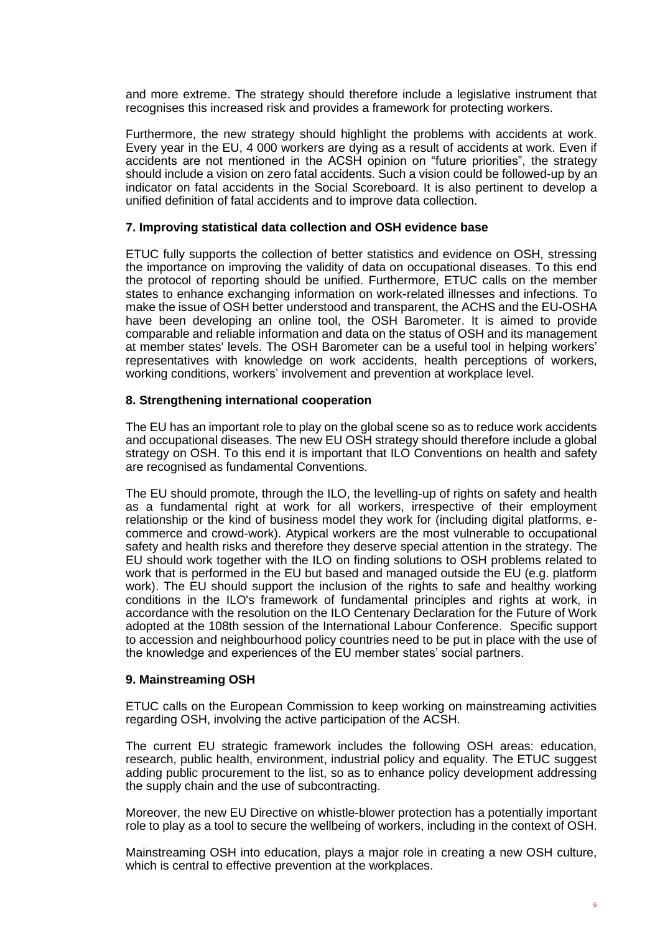and more extreme. The strategy should therefore include a legislative instrument that recognises this increased risk and provides a framework for protecting workers.

Furthermore, the new strategy should highlight the problems with accidents at work. Every year in the EU, 4 000 workers are dying as a result of accidents at work. Even if accidents are not mentioned in the ACSH opinion on "future priorities", the strategy should include a vision on zero fatal accidents. Such a vision could be followed-up by an indicator on fatal accidents in the Social Scoreboard. It is also pertinent to develop a unified definition of fatal accidents and to improve data collection.

#### **7. Improving statistical data collection and OSH evidence base**

ETUC fully supports the collection of better statistics and evidence on OSH, stressing the importance on improving the validity of data on occupational diseases. To this end the protocol of reporting should be unified. Furthermore, ETUC calls on the member states to enhance exchanging information on work-related illnesses and infections. To make the issue of OSH better understood and transparent, the ACHS and the EU-OSHA have been developing an online tool, the OSH Barometer. It is aimed to provide comparable and reliable information and data on the status of OSH and its management at member states' levels. The OSH Barometer can be a useful tool in helping workers' representatives with knowledge on work accidents, health perceptions of workers, working conditions, workers' involvement and prevention at workplace level.

#### **8. Strengthening international cooperation**

The EU has an important role to play on the global scene so as to reduce work accidents and occupational diseases. The new EU OSH strategy should therefore include a global strategy on OSH. To this end it is important that ILO Conventions on health and safety are recognised as fundamental Conventions.

The EU should promote, through the ILO, the levelling-up of rights on safety and health as a fundamental right at work for all workers, irrespective of their employment relationship or the kind of business model they work for (including digital platforms, ecommerce and crowd-work). Atypical workers are the most vulnerable to occupational safety and health risks and therefore they deserve special attention in the strategy. The EU should work together with the ILO on finding solutions to OSH problems related to work that is performed in the EU but based and managed outside the EU (e.g. platform work). The EU should support the inclusion of the rights to safe and healthy working conditions in the ILO's framework of fundamental principles and rights at work, in accordance with the resolution on the ILO Centenary Declaration for the Future of Work adopted at the 108th session of the International Labour Conference. Specific support to accession and neighbourhood policy countries need to be put in place with the use of the knowledge and experiences of the EU member states' social partners.

## **9. Mainstreaming OSH**

ETUC calls on the European Commission to keep working on mainstreaming activities regarding OSH, involving the active participation of the ACSH.

The current EU strategic framework includes the following OSH areas: education, research, public health, environment, industrial policy and equality. The ETUC suggest adding public procurement to the list, so as to enhance policy development addressing the supply chain and the use of subcontracting.

Moreover, the new EU Directive on whistle-blower protection has a potentially important role to play as a tool to secure the wellbeing of workers, including in the context of OSH.

Mainstreaming OSH into education, plays a major role in creating a new OSH culture, which is central to effective prevention at the workplaces.